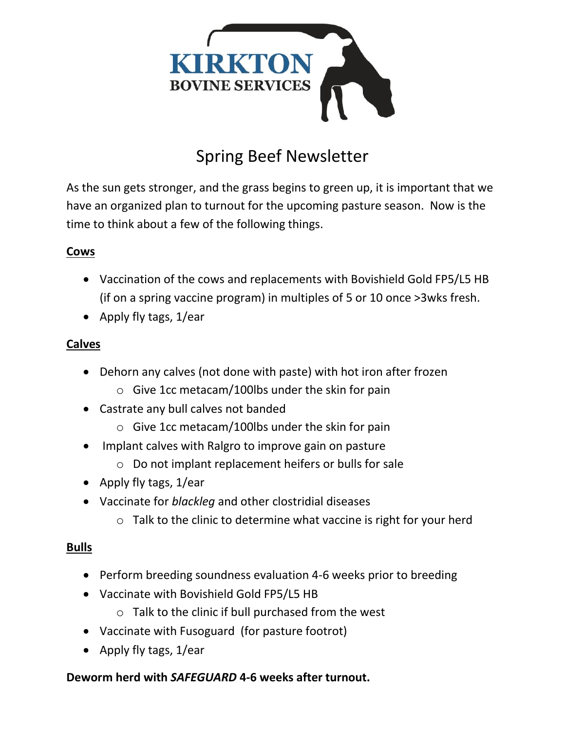

# Spring Beef Newsletter

As the sun gets stronger, and the grass begins to green up, it is important that we have an organized plan to turnout for the upcoming pasture season. Now is the time to think about a few of the following things.

## **Cows**

- Vaccination of the cows and replacements with Bovishield Gold FP5/L5 HB (if on a spring vaccine program) in multiples of 5 or 10 once >3wks fresh.
- Apply fly tags,  $1/e$ ar

#### **Calves**

- Dehorn any calves (not done with paste) with hot iron after frozen
	- o Give 1cc metacam/100lbs under the skin for pain
- Castrate any bull calves not banded
	- o Give 1cc metacam/100lbs under the skin for pain
- Implant calves with Ralgro to improve gain on pasture
	- o Do not implant replacement heifers or bulls for sale
- Apply fly tags, 1/ear
- Vaccinate for *blackleg* and other clostridial diseases
	- $\circ$  Talk to the clinic to determine what vaccine is right for your herd

## **Bulls**

- Perform breeding soundness evaluation 4-6 weeks prior to breeding
- Vaccinate with Bovishield Gold FP5/L5 HB
	- o Talk to the clinic if bull purchased from the west
- Vaccinate with Fusoguard (for pasture footrot)
- Apply fly tags, 1/ear

## **Deworm herd with** *SAFEGUARD* **4-6 weeks after turnout.**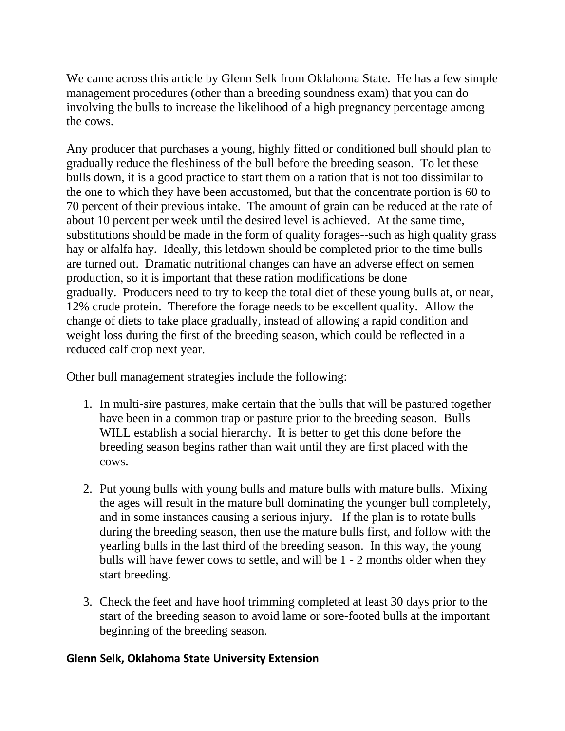We came across this article by Glenn Selk from Oklahoma State. He has a few simple management procedures (other than a breeding soundness exam) that you can do involving the bulls to increase the likelihood of a high pregnancy percentage among the cows.

Any producer that purchases a young, highly fitted or conditioned bull should plan to gradually reduce the fleshiness of the bull before the breeding season. To let these bulls down, it is a good practice to start them on a ration that is not too dissimilar to the one to which they have been accustomed, but that the concentrate portion is 60 to 70 percent of their previous intake. The amount of grain can be reduced at the rate of about 10 percent per week until the desired level is achieved. At the same time, substitutions should be made in the form of quality forages--such as high quality grass hay or alfalfa hay. Ideally, this letdown should be completed prior to the time bulls are turned out. Dramatic nutritional changes can have an adverse effect on semen production, so it is important that these ration modifications be done gradually. Producers need to try to keep the total diet of these young bulls at, or near, 12% crude protein. Therefore the forage needs to be excellent quality. Allow the change of diets to take place gradually, instead of allowing a rapid condition and weight loss during the first of the breeding season, which could be reflected in a reduced calf crop next year.

Other bull management strategies include the following:

- 1. In multi-sire pastures, make certain that the bulls that will be pastured together have been in a common trap or pasture prior to the breeding season. Bulls WILL establish a social hierarchy. It is better to get this done before the breeding season begins rather than wait until they are first placed with the cows.
- 2. Put young bulls with young bulls and mature bulls with mature bulls. Mixing the ages will result in the mature bull dominating the younger bull completely, and in some instances causing a serious injury. If the plan is to rotate bulls during the breeding season, then use the mature bulls first, and follow with the yearling bulls in the last third of the breeding season. In this way, the young bulls will have fewer cows to settle, and will be 1 - 2 months older when they start breeding.
- 3. Check the feet and have hoof trimming completed at least 30 days prior to the start of the breeding season to avoid lame or sore-footed bulls at the important beginning of the breeding season.

#### **Glenn Selk, Oklahoma State University Extension**